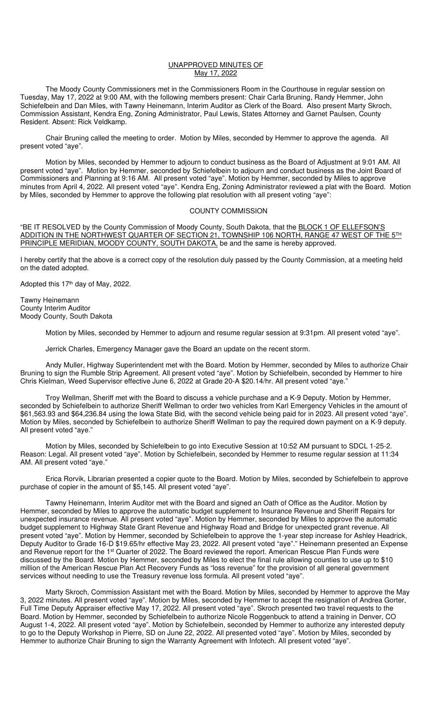## UNAPPROVED MINUTES OF May 17, 2022

 The Moody County Commissioners met in the Commissioners Room in the Courthouse in regular session on Tuesday, May 17, 2022 at 9:00 AM, with the following members present: Chair Carla Bruning, Randy Hemmer, John Schiefelbein and Dan Miles, with Tawny Heinemann, Interim Auditor as Clerk of the Board. Also present Marty Skroch, Commission Assistant, Kendra Eng, Zoning Administrator, Paul Lewis, States Attorney and Garnet Paulsen, County Resident. Absent: Rick Veldkamp.

Chair Bruning called the meeting to order. Motion by Miles, seconded by Hemmer to approve the agenda. All present voted "aye".

Motion by Miles, seconded by Hemmer to adjourn to conduct business as the Board of Adjustment at 9:01 AM. All present voted "aye". Motion by Hemmer, seconded by Schiefelbein to adjourn and conduct business as the Joint Board of Commissioners and Planning at 9:16 AM. All present voted "aye". Motion by Hemmer, seconded by Miles to approve minutes from April 4, 2022. All present voted "aye". Kendra Eng, Zoning Administrator reviewed a plat with the Board. Motion by Miles, seconded by Hemmer to approve the following plat resolution with all present voting "aye":

## COUNTY COMMISSION

"BE IT RESOLVED by the County Commission of Moody County, South Dakota, that the BLOCK 1 OF ELLEFSON'S ADDITION IN THE NORTHWEST QUARTER OF SECTION 21, TOWNSHIP 106 NORTH, RANGE 47 WEST OF THE 5TH PRINCIPLE MERIDIAN, MOODY COUNTY, SOUTH DAKOTA, be and the same is hereby approved.

I hereby certify that the above is a correct copy of the resolution duly passed by the County Commission, at a meeting held on the dated adopted.

Adopted this 17<sup>th</sup> day of May, 2022.

Tawny Heinemann County Interim Auditor Moody County, South Dakota

Motion by Miles, seconded by Hemmer to adjourn and resume regular session at 9:31pm. All present voted "aye".

Jerrick Charles, Emergency Manager gave the Board an update on the recent storm.

Andy Muller, Highway Superintendent met with the Board. Motion by Hemmer, seconded by Miles to authorize Chair Bruning to sign the Rumble Strip Agreement. All present voted "aye". Motion by Schiefelbein, seconded by Hemmer to hire Chris Kielman, Weed Supervisor effective June 6, 2022 at Grade 20-A \$20.14/hr. All present voted "aye."

 Troy Wellman, Sheriff met with the Board to discuss a vehicle purchase and a K-9 Deputy. Motion by Hemmer, seconded by Schiefelbein to authorize Sheriff Wellman to order two vehicles from Karl Emergency Vehicles in the amount of \$61,563.93 and \$64,236.84 using the Iowa State Bid, with the second vehicle being paid for in 2023. All present voted "aye". Motion by Miles, seconded by Schiefelbein to authorize Sheriff Wellman to pay the required down payment on a K-9 deputy. All present voted "aye."

Motion by Miles, seconded by Schiefelbein to go into Executive Session at 10:52 AM pursuant to SDCL 1-25-2. Reason: Legal. All present voted "aye". Motion by Schiefelbein, seconded by Hemmer to resume regular session at 11:34 AM. All present voted "aye."

Erica Rorvik, Librarian presented a copier quote to the Board. Motion by Miles, seconded by Schiefelbein to approve purchase of copier in the amount of \$5,145. All present voted "aye".

Tawny Heinemann, Interim Auditor met with the Board and signed an Oath of Office as the Auditor. Motion by Hemmer, seconded by Miles to approve the automatic budget supplement to Insurance Revenue and Sheriff Repairs for unexpected insurance revenue. All present voted "aye". Motion by Hemmer, seconded by Miles to approve the automatic budget supplement to Highway State Grant Revenue and Highway Road and Bridge for unexpected grant revenue. All present voted "aye". Motion by Hemmer, seconded by Schiefelbein to approve the 1-year step increase for Ashley Headrick, Deputy Auditor to Grade 16-D \$19.65/hr effective May 23, 2022. All present voted "aye"." Heinemann presented an Expense and Revenue report for the 1<sup>st</sup> Quarter of 2022. The Board reviewed the report. American Rescue Plan Funds were discussed by the Board. Motion by Hemmer, seconded by Miles to elect the final rule allowing counties to use up to \$10 million of the American Rescue Plan Act Recovery Funds as "loss revenue" for the provision of all general government services without needing to use the Treasury revenue loss formula. All present voted "aye".

 Marty Skroch, Commission Assistant met with the Board. Motion by Miles, seconded by Hemmer to approve the May 3, 2022 minutes. All present voted "aye". Motion by Miles, seconded by Hemmer to accept the resignation of Andrea Gorter, Full Time Deputy Appraiser effective May 17, 2022. All present voted "aye". Skroch presented two travel requests to the Board. Motion by Hemmer, seconded by Schiefelbein to authorize Nicole Roggenbuck to attend a training in Denver, CO August 1-4, 2022. All present voted "aye". Motion by Schiefelbein, seconded by Hemmer to authorize any interested deputy to go to the Deputy Workshop in Pierre, SD on June 22, 2022. All presented voted "aye". Motion by Miles, seconded by Hemmer to authorize Chair Bruning to sign the Warranty Agreement with Infotech. All present voted "aye".